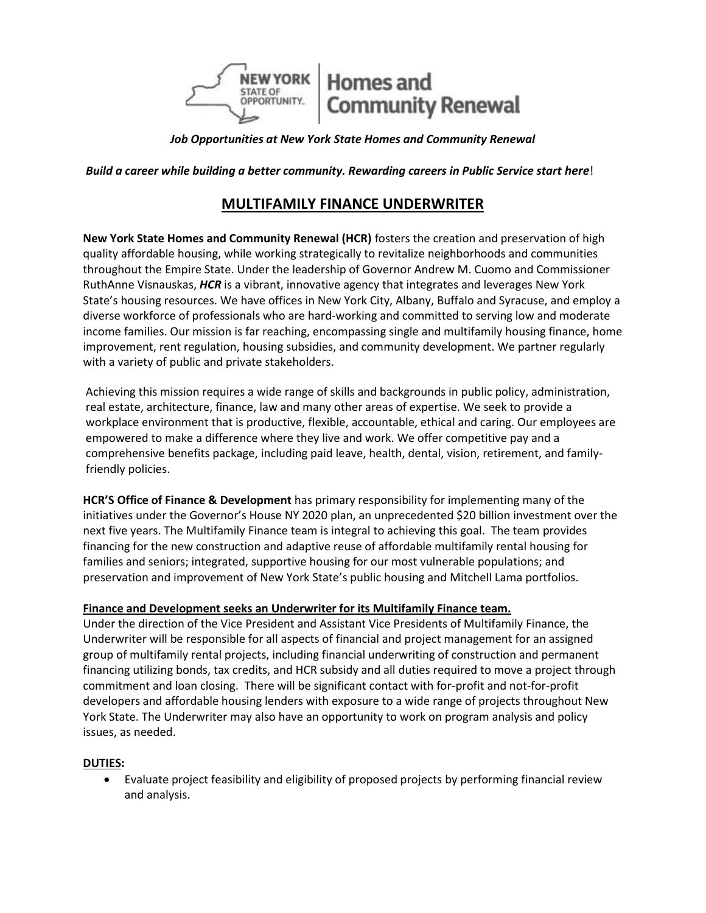

*Job Opportunities at New York State Homes and Community Renewal*

**Build a career while building a better community. Rewarding careers in Public Service start here!** 

# **MULTIFAMILY FINANCE UNDERWRITER**

**New York State Homes and Community Renewal (HCR)** fosters the creation and preservation of high quality affordable housing, while working strategically to revitalize neighborhoods and communities throughout the Empire State. Under the leadership of Governor Andrew M. Cuomo and Commissioner RuthAnne Visnauskas, *HCR* is a vibrant, innovative agency that integrates and leverages New York State's housing resources. We have offices in New York City, Albany, Buffalo and Syracuse, and employ a diverse workforce of professionals who are hard-working and committed to serving low and moderate income families. Our mission is far reaching, encompassing single and multifamily housing finance, home improvement, rent regulation, housing subsidies, and community development. We partner regularly with a variety of public and private stakeholders.

Achieving this mission requires a wide range of skills and backgrounds in public policy, administration, real estate, architecture, finance, law and many other areas of expertise. We seek to provide a workplace environment that is productive, flexible, accountable, ethical and caring. Our employees are empowered to make a difference where they live and work. We offer competitive pay and a comprehensive benefits package, including paid leave, health, dental, vision, retirement, and familyfriendly policies.

**HCR'S Office of Finance & Development** has primary responsibility for implementing many of the initiatives under the Governor's House NY 2020 plan, an unprecedented \$20 billion investment over the next five years. The Multifamily Finance team is integral to achieving this goal. The team provides financing for the new construction and adaptive reuse of affordable multifamily rental housing for families and seniors; integrated, supportive housing for our most vulnerable populations; and preservation and improvement of New York State's public housing and Mitchell Lama portfolios.

# **Finance and Development seeks an Underwriter for its Multifamily Finance team.**

Under the direction of the Vice President and Assistant Vice Presidents of Multifamily Finance, the Underwriter will be responsible for all aspects of financial and project management for an assigned group of multifamily rental projects, including financial underwriting of construction and permanent financing utilizing bonds, tax credits, and HCR subsidy and all duties required to move a project through commitment and loan closing. There will be significant contact with for-profit and not-for-profit developers and affordable housing lenders with exposure to a wide range of projects throughout New York State. The Underwriter may also have an opportunity to work on program analysis and policy issues, as needed.

## **DUTIES:**

 Evaluate project feasibility and eligibility of proposed projects by performing financial review and analysis.